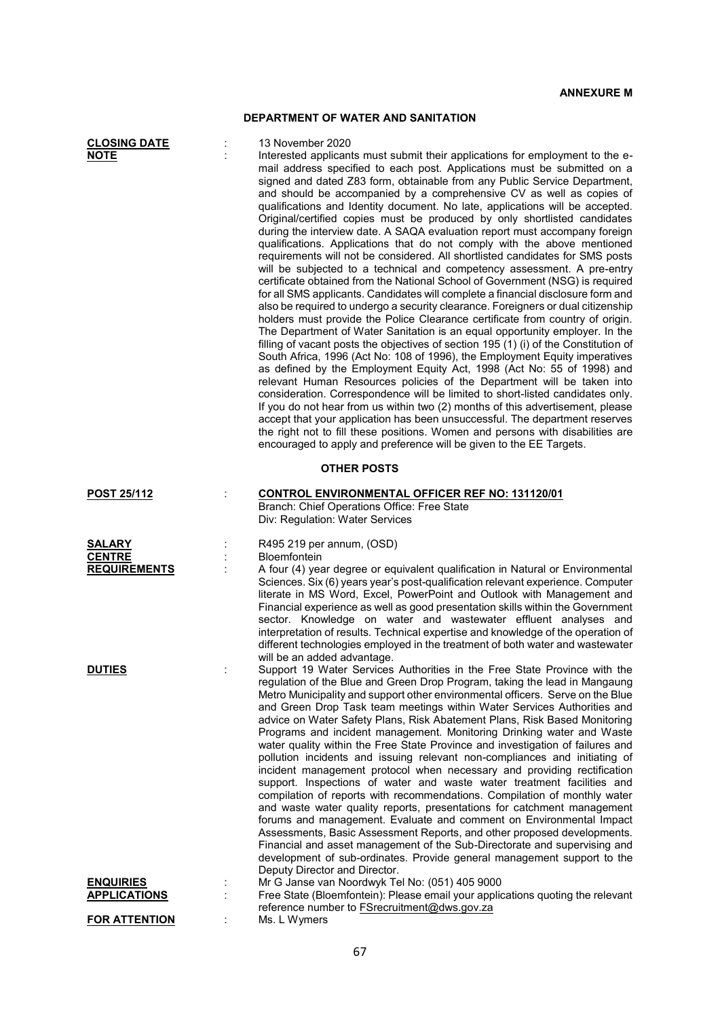## **DEPARTMENT OF WATER AND SANITATION**

| <b>CLOSING DATE</b><br><b>NOTE</b>                    | 13 November 2020<br>Interested applicants must submit their applications for employment to the e-<br>mail address specified to each post. Applications must be submitted on a<br>signed and dated Z83 form, obtainable from any Public Service Department,<br>and should be accompanied by a comprehensive CV as well as copies of<br>qualifications and Identity document. No late, applications will be accepted.<br>Original/certified copies must be produced by only shortlisted candidates<br>during the interview date. A SAQA evaluation report must accompany foreign<br>qualifications. Applications that do not comply with the above mentioned<br>requirements will not be considered. All shortlisted candidates for SMS posts<br>will be subjected to a technical and competency assessment. A pre-entry<br>certificate obtained from the National School of Government (NSG) is required<br>for all SMS applicants. Candidates will complete a financial disclosure form and<br>also be required to undergo a security clearance. Foreigners or dual citizenship<br>holders must provide the Police Clearance certificate from country of origin.<br>The Department of Water Sanitation is an equal opportunity employer. In the<br>filling of vacant posts the objectives of section 195 (1) (i) of the Constitution of<br>South Africa, 1996 (Act No: 108 of 1996), the Employment Equity imperatives<br>as defined by the Employment Equity Act, 1998 (Act No: 55 of 1998) and<br>relevant Human Resources policies of the Department will be taken into<br>consideration. Correspondence will be limited to short-listed candidates only.<br>If you do not hear from us within two (2) months of this advertisement, please<br>accept that your application has been unsuccessful. The department reserves<br>the right not to fill these positions. Women and persons with disabilities are<br>encouraged to apply and preference will be given to the EE Targets. |
|-------------------------------------------------------|----------------------------------------------------------------------------------------------------------------------------------------------------------------------------------------------------------------------------------------------------------------------------------------------------------------------------------------------------------------------------------------------------------------------------------------------------------------------------------------------------------------------------------------------------------------------------------------------------------------------------------------------------------------------------------------------------------------------------------------------------------------------------------------------------------------------------------------------------------------------------------------------------------------------------------------------------------------------------------------------------------------------------------------------------------------------------------------------------------------------------------------------------------------------------------------------------------------------------------------------------------------------------------------------------------------------------------------------------------------------------------------------------------------------------------------------------------------------------------------------------------------------------------------------------------------------------------------------------------------------------------------------------------------------------------------------------------------------------------------------------------------------------------------------------------------------------------------------------------------------------------------------------------------------------------------------------------------------------------------|
|                                                       | <b>OTHER POSTS</b>                                                                                                                                                                                                                                                                                                                                                                                                                                                                                                                                                                                                                                                                                                                                                                                                                                                                                                                                                                                                                                                                                                                                                                                                                                                                                                                                                                                                                                                                                                                                                                                                                                                                                                                                                                                                                                                                                                                                                                     |
| <b>POST 25/112</b>                                    | <b>CONTROL ENVIRONMENTAL OFFICER REF NO: 131120/01</b><br>Branch: Chief Operations Office: Free State<br>Div: Regulation: Water Services                                                                                                                                                                                                                                                                                                                                                                                                                                                                                                                                                                                                                                                                                                                                                                                                                                                                                                                                                                                                                                                                                                                                                                                                                                                                                                                                                                                                                                                                                                                                                                                                                                                                                                                                                                                                                                               |
| <b>SALARY</b><br><b>CENTRE</b><br><b>REQUIREMENTS</b> | R495 219 per annum, (OSD)<br>Bloemfontein<br>A four (4) year degree or equivalent qualification in Natural or Environmental<br>Sciences. Six (6) years year's post-qualification relevant experience. Computer<br>literate in MS Word, Excel, PowerPoint and Outlook with Management and<br>Financial experience as well as good presentation skills within the Government<br>sector. Knowledge on water and wastewater effluent analyses and<br>interpretation of results. Technical expertise and knowledge of the operation of<br>different technologies employed in the treatment of both water and wastewater<br>will be an added advantage.                                                                                                                                                                                                                                                                                                                                                                                                                                                                                                                                                                                                                                                                                                                                                                                                                                                                                                                                                                                                                                                                                                                                                                                                                                                                                                                                      |
| <b>DUTIES</b>                                         | Support 19 Water Services Authorities in the Free State Province with the<br>regulation of the Blue and Green Drop Program, taking the lead in Mangaung<br>Metro Municipality and support other environmental officers. Serve on the Blue<br>and Green Drop Task team meetings within Water Services Authorities and<br>advice on Water Safety Plans, Risk Abatement Plans, Risk Based Monitoring<br>Programs and incident management. Monitoring Drinking water and Waste<br>water quality within the Free State Province and investigation of failures and<br>pollution incidents and issuing relevant non-compliances and initiating of<br>incident management protocol when necessary and providing rectification<br>support. Inspections of water and waste water treatment facilities and<br>compilation of reports with recommendations. Compilation of monthly water<br>and waste water quality reports, presentations for catchment management<br>forums and management. Evaluate and comment on Environmental Impact<br>Assessments, Basic Assessment Reports, and other proposed developments.<br>Financial and asset management of the Sub-Directorate and supervising and<br>development of sub-ordinates. Provide general management support to the<br>Deputy Director and Director.                                                                                                                                                                                                                                                                                                                                                                                                                                                                                                                                                                                                                                                                                     |
| <b>ENQUIRIES</b><br><b>APPLICATIONS</b>               | Mr G Janse van Noordwyk Tel No: (051) 405 9000<br>Free State (Bloemfontein): Please email your applications quoting the relevant<br>reference number to <b>FS</b> recruitment@dws.gov.za                                                                                                                                                                                                                                                                                                                                                                                                                                                                                                                                                                                                                                                                                                                                                                                                                                                                                                                                                                                                                                                                                                                                                                                                                                                                                                                                                                                                                                                                                                                                                                                                                                                                                                                                                                                               |
| <b>FOR ATTENTION</b>                                  | Ms. L Wymers                                                                                                                                                                                                                                                                                                                                                                                                                                                                                                                                                                                                                                                                                                                                                                                                                                                                                                                                                                                                                                                                                                                                                                                                                                                                                                                                                                                                                                                                                                                                                                                                                                                                                                                                                                                                                                                                                                                                                                           |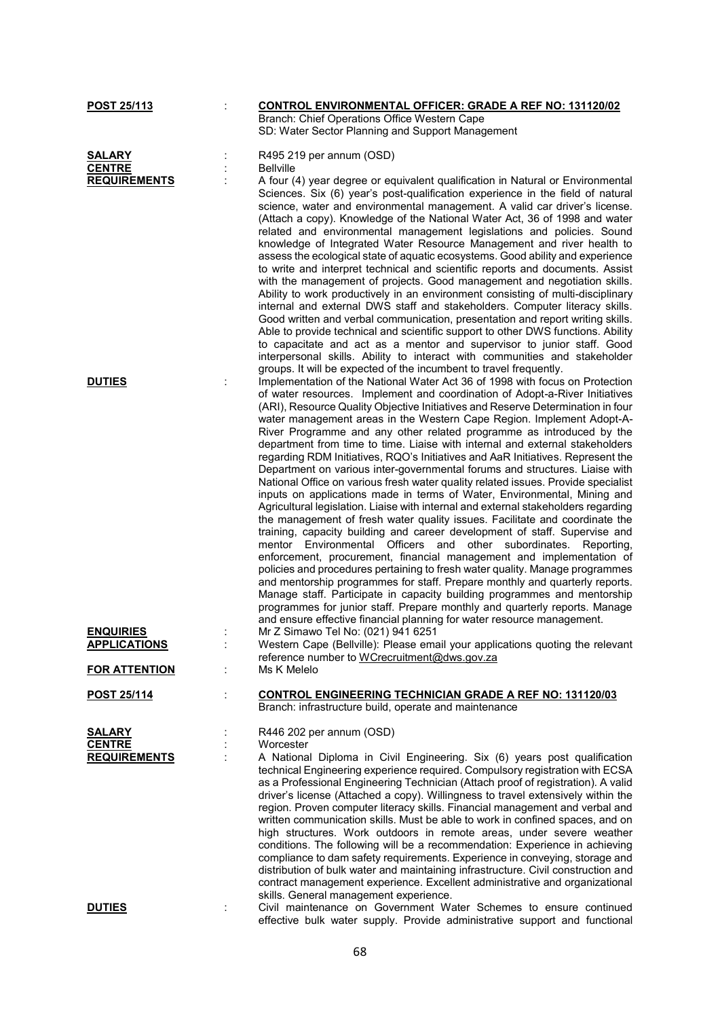| POST 25/113                             |   | <b>CONTROL ENVIRONMENTAL OFFICER: GRADE A REF NO: 131120/02</b>                                                                                                                                                                                                                                                                                                                                                                                                                                                                                                                                                                                                                                                                                                                                                                                                                                                                                                                                                                                                                                                                                                                                                                                                                                                                                                                                                                                                                                                                                                                                                         |
|-----------------------------------------|---|-------------------------------------------------------------------------------------------------------------------------------------------------------------------------------------------------------------------------------------------------------------------------------------------------------------------------------------------------------------------------------------------------------------------------------------------------------------------------------------------------------------------------------------------------------------------------------------------------------------------------------------------------------------------------------------------------------------------------------------------------------------------------------------------------------------------------------------------------------------------------------------------------------------------------------------------------------------------------------------------------------------------------------------------------------------------------------------------------------------------------------------------------------------------------------------------------------------------------------------------------------------------------------------------------------------------------------------------------------------------------------------------------------------------------------------------------------------------------------------------------------------------------------------------------------------------------------------------------------------------------|
|                                         |   | Branch: Chief Operations Office Western Cape                                                                                                                                                                                                                                                                                                                                                                                                                                                                                                                                                                                                                                                                                                                                                                                                                                                                                                                                                                                                                                                                                                                                                                                                                                                                                                                                                                                                                                                                                                                                                                            |
|                                         |   | SD: Water Sector Planning and Support Management                                                                                                                                                                                                                                                                                                                                                                                                                                                                                                                                                                                                                                                                                                                                                                                                                                                                                                                                                                                                                                                                                                                                                                                                                                                                                                                                                                                                                                                                                                                                                                        |
|                                         |   |                                                                                                                                                                                                                                                                                                                                                                                                                                                                                                                                                                                                                                                                                                                                                                                                                                                                                                                                                                                                                                                                                                                                                                                                                                                                                                                                                                                                                                                                                                                                                                                                                         |
| SALARY                                  |   | R495 219 per annum (OSD)                                                                                                                                                                                                                                                                                                                                                                                                                                                                                                                                                                                                                                                                                                                                                                                                                                                                                                                                                                                                                                                                                                                                                                                                                                                                                                                                                                                                                                                                                                                                                                                                |
| <b>CENTRE</b>                           |   | <b>Bellville</b>                                                                                                                                                                                                                                                                                                                                                                                                                                                                                                                                                                                                                                                                                                                                                                                                                                                                                                                                                                                                                                                                                                                                                                                                                                                                                                                                                                                                                                                                                                                                                                                                        |
| <b>REQUIREMENTS</b>                     |   | A four (4) year degree or equivalent qualification in Natural or Environmental                                                                                                                                                                                                                                                                                                                                                                                                                                                                                                                                                                                                                                                                                                                                                                                                                                                                                                                                                                                                                                                                                                                                                                                                                                                                                                                                                                                                                                                                                                                                          |
|                                         |   | Sciences. Six (6) year's post-qualification experience in the field of natural<br>science, water and environmental management. A valid car driver's license.<br>(Attach a copy). Knowledge of the National Water Act, 36 of 1998 and water<br>related and environmental management legislations and policies. Sound<br>knowledge of Integrated Water Resource Management and river health to<br>assess the ecological state of aquatic ecosystems. Good ability and experience                                                                                                                                                                                                                                                                                                                                                                                                                                                                                                                                                                                                                                                                                                                                                                                                                                                                                                                                                                                                                                                                                                                                          |
|                                         |   | to write and interpret technical and scientific reports and documents. Assist<br>with the management of projects. Good management and negotiation skills.<br>Ability to work productively in an environment consisting of multi-disciplinary<br>internal and external DWS staff and stakeholders. Computer literacy skills.<br>Good written and verbal communication, presentation and report writing skills.<br>Able to provide technical and scientific support to other DWS functions. Ability<br>to capacitate and act as a mentor and supervisor to junior staff. Good<br>interpersonal skills. Ability to interact with communities and stakeholder<br>groups. It will be expected of the incumbent to travel frequently.                                                                                                                                                                                                                                                                                                                                                                                                                                                                                                                                                                                                                                                                                                                                                                                                                                                                                         |
| <b>DUTIES</b>                           |   | Implementation of the National Water Act 36 of 1998 with focus on Protection<br>of water resources. Implement and coordination of Adopt-a-River Initiatives<br>(ARI), Resource Quality Objective Initiatives and Reserve Determination in four<br>water management areas in the Western Cape Region. Implement Adopt-A-<br>River Programme and any other related programme as introduced by the<br>department from time to time. Liaise with internal and external stakeholders<br>regarding RDM Initiatives, RQO's Initiatives and AaR Initiatives. Represent the<br>Department on various inter-governmental forums and structures. Liaise with<br>National Office on various fresh water quality related issues. Provide specialist<br>inputs on applications made in terms of Water, Environmental, Mining and<br>Agricultural legislation. Liaise with internal and external stakeholders regarding<br>the management of fresh water quality issues. Facilitate and coordinate the<br>training, capacity building and career development of staff. Supervise and<br>mentor Environmental Officers and other subordinates.<br>Reporting,<br>enforcement, procurement, financial management and implementation of<br>policies and procedures pertaining to fresh water quality. Manage programmes<br>and mentorship programmes for staff. Prepare monthly and quarterly reports.<br>Manage staff. Participate in capacity building programmes and mentorship<br>programmes for junior staff. Prepare monthly and quarterly reports. Manage<br>and ensure effective financial planning for water resource management. |
| <b>ENQUIRIES</b><br><b>APPLICATIONS</b> |   | Mr Z Simawo Tel No: (021) 941 6251<br>Western Cape (Bellville): Please email your applications quoting the relevant                                                                                                                                                                                                                                                                                                                                                                                                                                                                                                                                                                                                                                                                                                                                                                                                                                                                                                                                                                                                                                                                                                                                                                                                                                                                                                                                                                                                                                                                                                     |
| <b>FOR ATTENTION</b>                    |   | reference number to WCrecruitment@dws.gov.za<br>Ms K Melelo                                                                                                                                                                                                                                                                                                                                                                                                                                                                                                                                                                                                                                                                                                                                                                                                                                                                                                                                                                                                                                                                                                                                                                                                                                                                                                                                                                                                                                                                                                                                                             |
| <u>POST 25/114</u>                      | t | <b>CONTROL ENGINEERING TECHNICIAN GRADE A REF NO: 131120/03</b><br>Branch: infrastructure build, operate and maintenance                                                                                                                                                                                                                                                                                                                                                                                                                                                                                                                                                                                                                                                                                                                                                                                                                                                                                                                                                                                                                                                                                                                                                                                                                                                                                                                                                                                                                                                                                                |
| <b>SALARY</b>                           |   | R446 202 per annum (OSD)                                                                                                                                                                                                                                                                                                                                                                                                                                                                                                                                                                                                                                                                                                                                                                                                                                                                                                                                                                                                                                                                                                                                                                                                                                                                                                                                                                                                                                                                                                                                                                                                |
| <b>CENTRE</b>                           |   | Worcester                                                                                                                                                                                                                                                                                                                                                                                                                                                                                                                                                                                                                                                                                                                                                                                                                                                                                                                                                                                                                                                                                                                                                                                                                                                                                                                                                                                                                                                                                                                                                                                                               |
| <b>REQUIREMENTS</b>                     |   | A National Diploma in Civil Engineering. Six (6) years post qualification                                                                                                                                                                                                                                                                                                                                                                                                                                                                                                                                                                                                                                                                                                                                                                                                                                                                                                                                                                                                                                                                                                                                                                                                                                                                                                                                                                                                                                                                                                                                               |
|                                         |   | technical Engineering experience required. Compulsory registration with ECSA<br>as a Professional Engineering Technician (Attach proof of registration). A valid<br>driver's license (Attached a copy). Willingness to travel extensively within the<br>region. Proven computer literacy skills. Financial management and verbal and<br>written communication skills. Must be able to work in confined spaces, and on<br>high structures. Work outdoors in remote areas, under severe weather<br>conditions. The following will be a recommendation: Experience in achieving<br>compliance to dam safety requirements. Experience in conveying, storage and<br>distribution of bulk water and maintaining infrastructure. Civil construction and<br>contract management experience. Excellent administrative and organizational                                                                                                                                                                                                                                                                                                                                                                                                                                                                                                                                                                                                                                                                                                                                                                                         |
| <b>DUTIES</b>                           |   | skills. General management experience.<br>Civil maintenance on Government Water Schemes to ensure continued<br>effective bulk water supply. Provide administrative support and functional                                                                                                                                                                                                                                                                                                                                                                                                                                                                                                                                                                                                                                                                                                                                                                                                                                                                                                                                                                                                                                                                                                                                                                                                                                                                                                                                                                                                                               |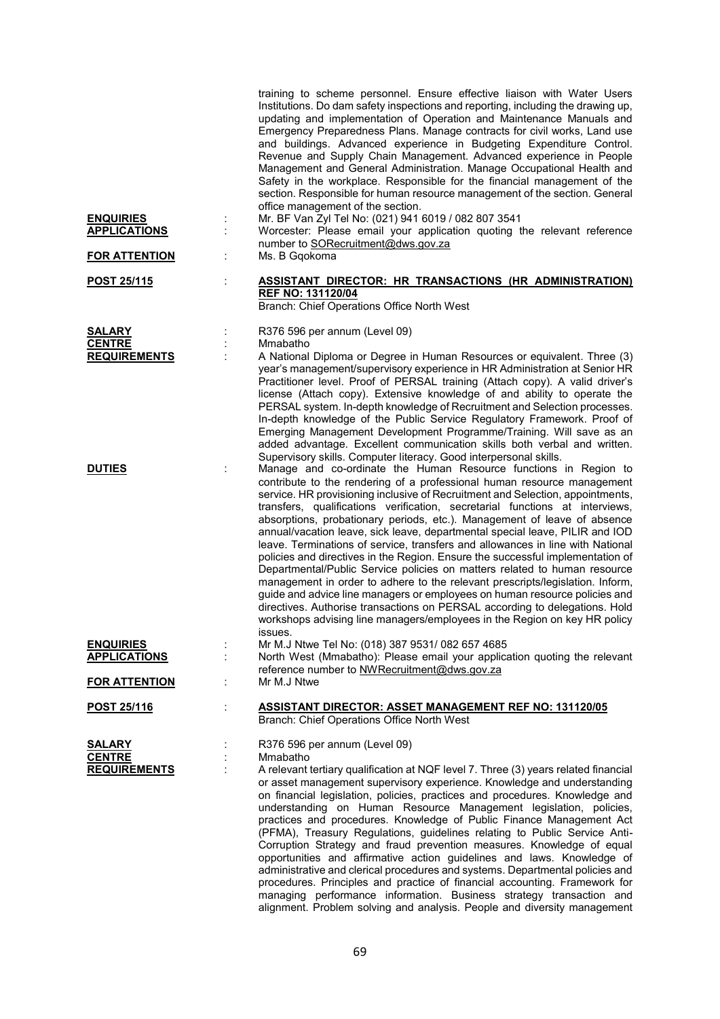|                                                       |    | training to scheme personnel. Ensure effective liaison with Water Users<br>Institutions. Do dam safety inspections and reporting, including the drawing up,<br>updating and implementation of Operation and Maintenance Manuals and<br>Emergency Preparedness Plans. Manage contracts for civil works, Land use<br>and buildings. Advanced experience in Budgeting Expenditure Control.<br>Revenue and Supply Chain Management. Advanced experience in People<br>Management and General Administration. Manage Occupational Health and<br>Safety in the workplace. Responsible for the financial management of the<br>section. Responsible for human resource management of the section. General<br>office management of the section.                                                                                                                                                                                                                                                                                                                            |
|-------------------------------------------------------|----|------------------------------------------------------------------------------------------------------------------------------------------------------------------------------------------------------------------------------------------------------------------------------------------------------------------------------------------------------------------------------------------------------------------------------------------------------------------------------------------------------------------------------------------------------------------------------------------------------------------------------------------------------------------------------------------------------------------------------------------------------------------------------------------------------------------------------------------------------------------------------------------------------------------------------------------------------------------------------------------------------------------------------------------------------------------|
| <b>ENQUIRIES</b><br><b>APPLICATIONS</b>               | ł. | Mr. BF Van Zyl Tel No: (021) 941 6019 / 082 807 3541<br>Worcester: Please email your application quoting the relevant reference<br>number to SORecruitment@dws.gov.za                                                                                                                                                                                                                                                                                                                                                                                                                                                                                                                                                                                                                                                                                                                                                                                                                                                                                            |
| <u>FOR ATTENTION</u>                                  | ÷  | Ms. B Gqokoma                                                                                                                                                                                                                                                                                                                                                                                                                                                                                                                                                                                                                                                                                                                                                                                                                                                                                                                                                                                                                                                    |
| POST 25/115                                           | t, | <b>ASSISTANT DIRECTOR: HR TRANSACTIONS (HR ADMINISTRATION)</b><br><b>REF NO: 131120/04</b><br>Branch: Chief Operations Office North West                                                                                                                                                                                                                                                                                                                                                                                                                                                                                                                                                                                                                                                                                                                                                                                                                                                                                                                         |
| <b>SALARY</b><br><b>CENTRE</b><br><b>REQUIREMENTS</b> |    | R376 596 per annum (Level 09)<br>Mmabatho<br>A National Diploma or Degree in Human Resources or equivalent. Three (3)                                                                                                                                                                                                                                                                                                                                                                                                                                                                                                                                                                                                                                                                                                                                                                                                                                                                                                                                            |
|                                                       |    | year's management/supervisory experience in HR Administration at Senior HR<br>Practitioner level. Proof of PERSAL training (Attach copy). A valid driver's<br>license (Attach copy). Extensive knowledge of and ability to operate the<br>PERSAL system. In-depth knowledge of Recruitment and Selection processes.<br>In-depth knowledge of the Public Service Regulatory Framework. Proof of<br>Emerging Management Development Programme/Training. Will save as an<br>added advantage. Excellent communication skills both verbal and written.<br>Supervisory skills. Computer literacy. Good interpersonal skills.                                                                                                                                                                                                                                                                                                                                                                                                                                           |
| <b>DUTIES</b>                                         |    | Manage and co-ordinate the Human Resource functions in Region to<br>contribute to the rendering of a professional human resource management<br>service. HR provisioning inclusive of Recruitment and Selection, appointments,<br>transfers, qualifications verification, secretarial functions at interviews,<br>absorptions, probationary periods, etc.). Management of leave of absence<br>annual/vacation leave, sick leave, departmental special leave, PILIR and IOD<br>leave. Terminations of service, transfers and allowances in line with National<br>policies and directives in the Region. Ensure the successful implementation of<br>Departmental/Public Service policies on matters related to human resource<br>management in order to adhere to the relevant prescripts/legislation. Inform,<br>guide and advice line managers or employees on human resource policies and<br>directives. Authorise transactions on PERSAL according to delegations. Hold<br>workshops advising line managers/employees in the Region on key HR policy<br>issues. |
| <b>ENQUIRIES</b><br><b>APPLICATIONS</b>               |    | Mr M.J Ntwe Tel No: (018) 387 9531/ 082 657 4685<br>North West (Mmabatho): Please email your application quoting the relevant                                                                                                                                                                                                                                                                                                                                                                                                                                                                                                                                                                                                                                                                                                                                                                                                                                                                                                                                    |
| <b>FOR ATTENTION</b>                                  | ÷  | reference number to NWRecruitment@dws.gov.za<br>Mr M.J Ntwe                                                                                                                                                                                                                                                                                                                                                                                                                                                                                                                                                                                                                                                                                                                                                                                                                                                                                                                                                                                                      |
| POST 25/116                                           | ÷  | <b>ASSISTANT DIRECTOR: ASSET MANAGEMENT REF NO: 131120/05</b><br>Branch: Chief Operations Office North West                                                                                                                                                                                                                                                                                                                                                                                                                                                                                                                                                                                                                                                                                                                                                                                                                                                                                                                                                      |
| SALARY<br><b>CENTRE</b><br><b>REQUIREMENTS</b>        |    | R376 596 per annum (Level 09)<br>Mmabatho<br>A relevant tertiary qualification at NQF level 7. Three (3) years related financial<br>or asset management supervisory experience. Knowledge and understanding<br>on financial legislation, policies, practices and procedures. Knowledge and<br>understanding on Human Resource Management legislation, policies,<br>practices and procedures. Knowledge of Public Finance Management Act<br>(PFMA), Treasury Regulations, guidelines relating to Public Service Anti-<br>Corruption Strategy and fraud prevention measures. Knowledge of equal<br>opportunities and affirmative action guidelines and laws. Knowledge of<br>administrative and clerical procedures and systems. Departmental policies and<br>procedures. Principles and practice of financial accounting. Framework for<br>managing performance information. Business strategy transaction and<br>alignment. Problem solving and analysis. People and diversity management                                                                        |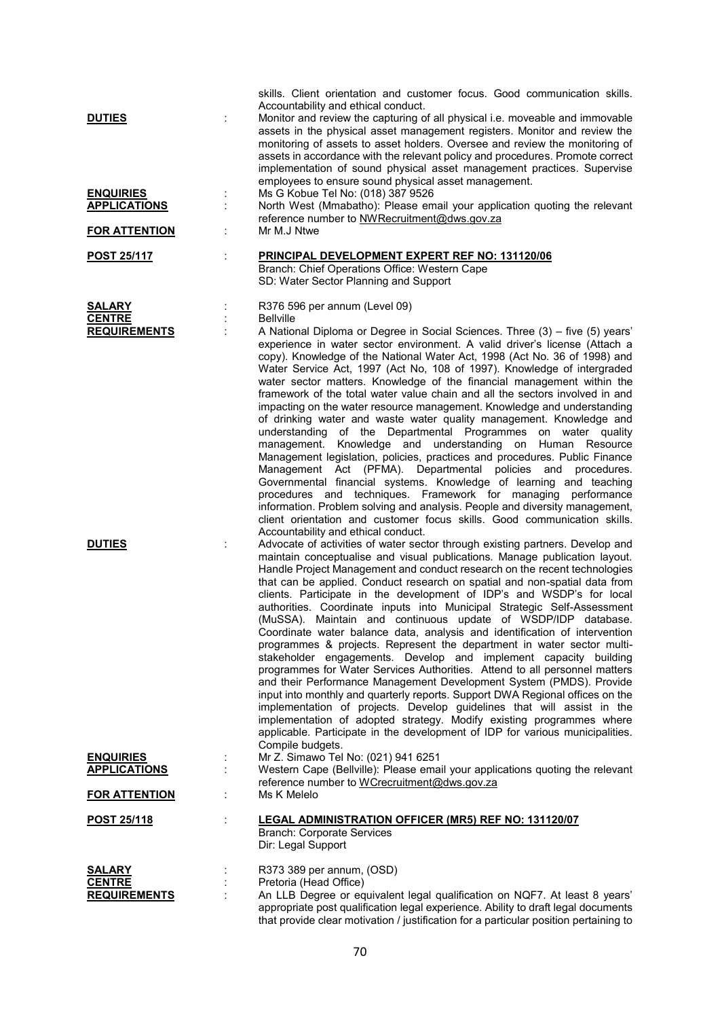| <b>DUTIES</b>                                  | ÷ | skills. Client orientation and customer focus. Good communication skills.<br>Accountability and ethical conduct.<br>Monitor and review the capturing of all physical i.e. moveable and immovable<br>assets in the physical asset management registers. Monitor and review the<br>monitoring of assets to asset holders. Oversee and review the monitoring of<br>assets in accordance with the relevant policy and procedures. Promote correct<br>implementation of sound physical asset management practices. Supervise<br>employees to ensure sound physical asset management.                                                                                                                                                                                                                                                                                                                                                                                                                                                                                                                                                                                                                                                                                                                             |
|------------------------------------------------|---|-------------------------------------------------------------------------------------------------------------------------------------------------------------------------------------------------------------------------------------------------------------------------------------------------------------------------------------------------------------------------------------------------------------------------------------------------------------------------------------------------------------------------------------------------------------------------------------------------------------------------------------------------------------------------------------------------------------------------------------------------------------------------------------------------------------------------------------------------------------------------------------------------------------------------------------------------------------------------------------------------------------------------------------------------------------------------------------------------------------------------------------------------------------------------------------------------------------------------------------------------------------------------------------------------------------|
| <b>ENQUIRIES</b><br><b>APPLICATIONS</b>        |   | Ms G Kobue Tel No: (018) 387 9526<br>North West (Mmabatho): Please email your application quoting the relevant<br>reference number to NWRecruitment@dws.gov.za                                                                                                                                                                                                                                                                                                                                                                                                                                                                                                                                                                                                                                                                                                                                                                                                                                                                                                                                                                                                                                                                                                                                              |
| <b>FOR ATTENTION</b>                           |   | Mr M.J Ntwe                                                                                                                                                                                                                                                                                                                                                                                                                                                                                                                                                                                                                                                                                                                                                                                                                                                                                                                                                                                                                                                                                                                                                                                                                                                                                                 |
| <b>POST 25/117</b>                             |   | PRINCIPAL DEVELOPMENT EXPERT REF NO: 131120/06<br>Branch: Chief Operations Office: Western Cape<br>SD: Water Sector Planning and Support                                                                                                                                                                                                                                                                                                                                                                                                                                                                                                                                                                                                                                                                                                                                                                                                                                                                                                                                                                                                                                                                                                                                                                    |
| SALARY<br><b>CENTRE</b><br><b>REQUIREMENTS</b> |   | R376 596 per annum (Level 09)<br><b>Bellville</b><br>A National Diploma or Degree in Social Sciences. Three (3) – five (5) years'<br>experience in water sector environment. A valid driver's license (Attach a<br>copy). Knowledge of the National Water Act, 1998 (Act No. 36 of 1998) and<br>Water Service Act, 1997 (Act No, 108 of 1997). Knowledge of intergraded<br>water sector matters. Knowledge of the financial management within the<br>framework of the total water value chain and all the sectors involved in and<br>impacting on the water resource management. Knowledge and understanding<br>of drinking water and waste water quality management. Knowledge and<br>understanding of the Departmental Programmes on water quality<br>management. Knowledge and understanding on Human Resource<br>Management legislation, policies, practices and procedures. Public Finance<br>Management Act (PFMA). Departmental policies and<br>procedures.<br>Governmental financial systems. Knowledge of learning and teaching<br>procedures and techniques. Framework for managing performance<br>information. Problem solving and analysis. People and diversity management,<br>client orientation and customer focus skills. Good communication skills.<br>Accountability and ethical conduct. |
| <b>DUTIES</b>                                  | ÷ | Advocate of activities of water sector through existing partners. Develop and<br>maintain conceptualise and visual publications. Manage publication layout.<br>Handle Project Management and conduct research on the recent technologies<br>that can be applied. Conduct research on spatial and non-spatial data from<br>clients. Participate in the development of IDP's and WSDP's for local<br>authorities. Coordinate inputs into Municipal Strategic Self-Assessment<br>(MuSSA). Maintain and continuous update of WSDP/IDP database.<br>Coordinate water balance data, analysis and identification of intervention<br>programmes & projects. Represent the department in water sector multi-<br>stakeholder engagements. Develop and implement capacity building<br>programmes for Water Services Authorities. Attend to all personnel matters<br>and their Performance Management Development System (PMDS). Provide<br>input into monthly and quarterly reports. Support DWA Regional offices on the<br>implementation of projects. Develop guidelines that will assist in the<br>implementation of adopted strategy. Modify existing programmes where<br>applicable. Participate in the development of IDP for various municipalities.<br>Compile budgets.                                        |
| <b>ENQUIRIES</b><br><b>APPLICATIONS</b>        |   | Mr Z. Simawo Tel No: (021) 941 6251<br>Western Cape (Bellville): Please email your applications quoting the relevant<br>reference number to WCrecruitment@dws.gov.za                                                                                                                                                                                                                                                                                                                                                                                                                                                                                                                                                                                                                                                                                                                                                                                                                                                                                                                                                                                                                                                                                                                                        |
| <b>FOR ATTENTION</b>                           | ÷ | Ms K Melelo                                                                                                                                                                                                                                                                                                                                                                                                                                                                                                                                                                                                                                                                                                                                                                                                                                                                                                                                                                                                                                                                                                                                                                                                                                                                                                 |
| POST 25/118                                    | ÷ | <b>LEGAL ADMINISTRATION OFFICER (MR5) REF NO: 131120/07</b><br><b>Branch: Corporate Services</b><br>Dir: Legal Support                                                                                                                                                                                                                                                                                                                                                                                                                                                                                                                                                                                                                                                                                                                                                                                                                                                                                                                                                                                                                                                                                                                                                                                      |
| SALARY<br><b>CENTRE</b><br><b>REQUIREMENTS</b> |   | R373 389 per annum, (OSD)<br>Pretoria (Head Office)<br>An LLB Degree or equivalent legal qualification on NQF7. At least 8 years'<br>appropriate post qualification legal experience. Ability to draft legal documents<br>that provide clear motivation / justification for a particular position pertaining to                                                                                                                                                                                                                                                                                                                                                                                                                                                                                                                                                                                                                                                                                                                                                                                                                                                                                                                                                                                             |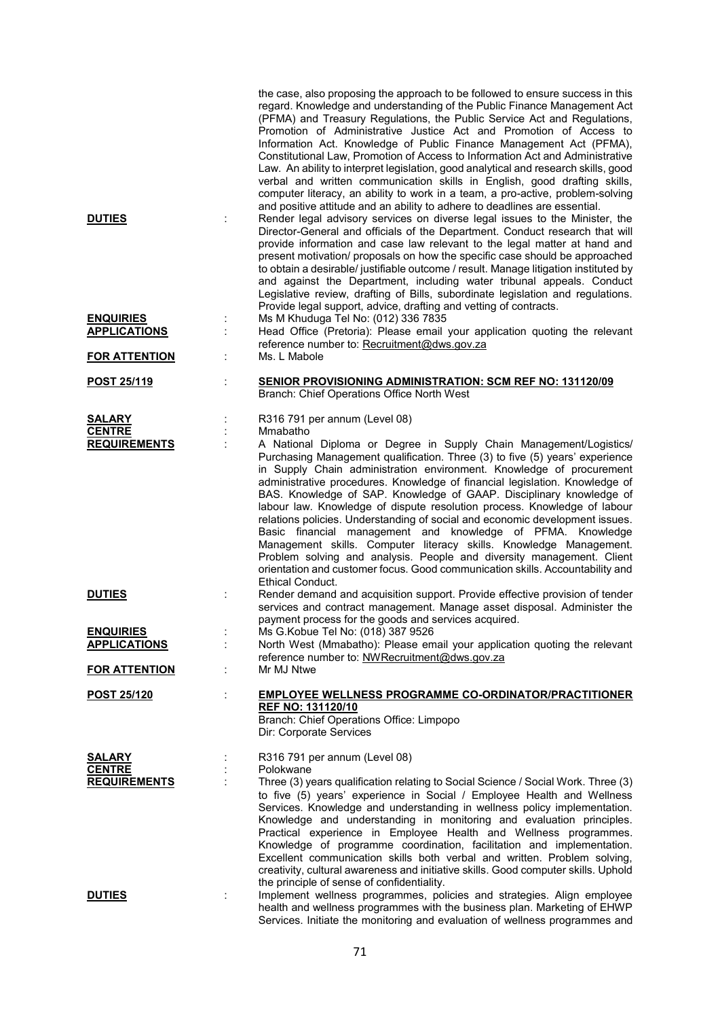|                                                       |         | the case, also proposing the approach to be followed to ensure success in this<br>regard. Knowledge and understanding of the Public Finance Management Act<br>(PFMA) and Treasury Regulations, the Public Service Act and Regulations,<br>Promotion of Administrative Justice Act and Promotion of Access to<br>Information Act. Knowledge of Public Finance Management Act (PFMA),<br>Constitutional Law, Promotion of Access to Information Act and Administrative<br>Law. An ability to interpret legislation, good analytical and research skills, good<br>verbal and written communication skills in English, good drafting skills,<br>computer literacy, an ability to work in a team, a pro-active, problem-solving                                                                                                                                                                                   |
|-------------------------------------------------------|---------|--------------------------------------------------------------------------------------------------------------------------------------------------------------------------------------------------------------------------------------------------------------------------------------------------------------------------------------------------------------------------------------------------------------------------------------------------------------------------------------------------------------------------------------------------------------------------------------------------------------------------------------------------------------------------------------------------------------------------------------------------------------------------------------------------------------------------------------------------------------------------------------------------------------|
| <b>DUTIES</b>                                         |         | and positive attitude and an ability to adhere to deadlines are essential.<br>Render legal advisory services on diverse legal issues to the Minister, the<br>Director-General and officials of the Department. Conduct research that will<br>provide information and case law relevant to the legal matter at hand and<br>present motivation/ proposals on how the specific case should be approached<br>to obtain a desirable/ justifiable outcome / result. Manage litigation instituted by<br>and against the Department, including water tribunal appeals. Conduct<br>Legislative review, drafting of Bills, subordinate legislation and regulations.<br>Provide legal support, advice, drafting and vetting of contracts.                                                                                                                                                                               |
| <b>ENQUIRIES</b><br><b>APPLICATIONS</b>               | ÷<br>t. | Ms M Khuduga Tel No: (012) 336 7835<br>Head Office (Pretoria): Please email your application quoting the relevant<br>reference number to: Recruitment@dws.gov.za                                                                                                                                                                                                                                                                                                                                                                                                                                                                                                                                                                                                                                                                                                                                             |
| <b>FOR ATTENTION</b>                                  |         | Ms. L Mabole                                                                                                                                                                                                                                                                                                                                                                                                                                                                                                                                                                                                                                                                                                                                                                                                                                                                                                 |
| <b>POST 25/119</b>                                    | t       | <b>SENIOR PROVISIONING ADMINISTRATION: SCM REF NO: 131120/09</b><br>Branch: Chief Operations Office North West                                                                                                                                                                                                                                                                                                                                                                                                                                                                                                                                                                                                                                                                                                                                                                                               |
| <b>SALARY</b><br><b>CENTRE</b><br><b>REQUIREMENTS</b> |         | R316 791 per annum (Level 08)<br>Mmabatho<br>A National Diploma or Degree in Supply Chain Management/Logistics/<br>Purchasing Management qualification. Three (3) to five (5) years' experience<br>in Supply Chain administration environment. Knowledge of procurement<br>administrative procedures. Knowledge of financial legislation. Knowledge of<br>BAS. Knowledge of SAP. Knowledge of GAAP. Disciplinary knowledge of<br>labour law. Knowledge of dispute resolution process. Knowledge of labour<br>relations policies. Understanding of social and economic development issues.<br>Basic financial management and knowledge of PFMA. Knowledge<br>Management skills. Computer literacy skills. Knowledge Management.<br>Problem solving and analysis. People and diversity management. Client<br>orientation and customer focus. Good communication skills. Accountability and<br>Ethical Conduct. |
| <b>DUTIES</b>                                         |         | Render demand and acquisition support. Provide effective provision of tender<br>services and contract management. Manage asset disposal. Administer the<br>payment process for the goods and services acquired.                                                                                                                                                                                                                                                                                                                                                                                                                                                                                                                                                                                                                                                                                              |
| <b>ENQUIRIES</b><br><b>APPLICATIONS</b>               |         | Ms G.Kobue Tel No: (018) 387 9526<br>North West (Mmabatho): Please email your application quoting the relevant<br>reference number to: NWRecruitment@dws.gov.za                                                                                                                                                                                                                                                                                                                                                                                                                                                                                                                                                                                                                                                                                                                                              |
| <b>FOR ATTENTION</b>                                  |         | Mr MJ Ntwe                                                                                                                                                                                                                                                                                                                                                                                                                                                                                                                                                                                                                                                                                                                                                                                                                                                                                                   |
| <b>POST 25/120</b>                                    |         | <b>EMPLOYEE WELLNESS PROGRAMME CO-ORDINATOR/PRACTITIONER</b><br><b>REF NO: 131120/10</b><br>Branch: Chief Operations Office: Limpopo<br>Dir: Corporate Services                                                                                                                                                                                                                                                                                                                                                                                                                                                                                                                                                                                                                                                                                                                                              |
| <b>SALARY</b><br><b>CENTRE</b><br><b>REQUIREMENTS</b> |         | R316 791 per annum (Level 08)<br>Polokwane<br>Three (3) years qualification relating to Social Science / Social Work. Three (3)<br>to five (5) years' experience in Social / Employee Health and Wellness<br>Services. Knowledge and understanding in wellness policy implementation.<br>Knowledge and understanding in monitoring and evaluation principles.<br>Practical experience in Employee Health and Wellness programmes.<br>Knowledge of programme coordination, facilitation and implementation.<br>Excellent communication skills both verbal and written. Problem solving,<br>creativity, cultural awareness and initiative skills. Good computer skills. Uphold                                                                                                                                                                                                                                 |
| <b>DUTIES</b>                                         |         | the principle of sense of confidentiality.<br>Implement wellness programmes, policies and strategies. Align employee<br>health and wellness programmes with the business plan. Marketing of EHWP<br>Services. Initiate the monitoring and evaluation of wellness programmes and                                                                                                                                                                                                                                                                                                                                                                                                                                                                                                                                                                                                                              |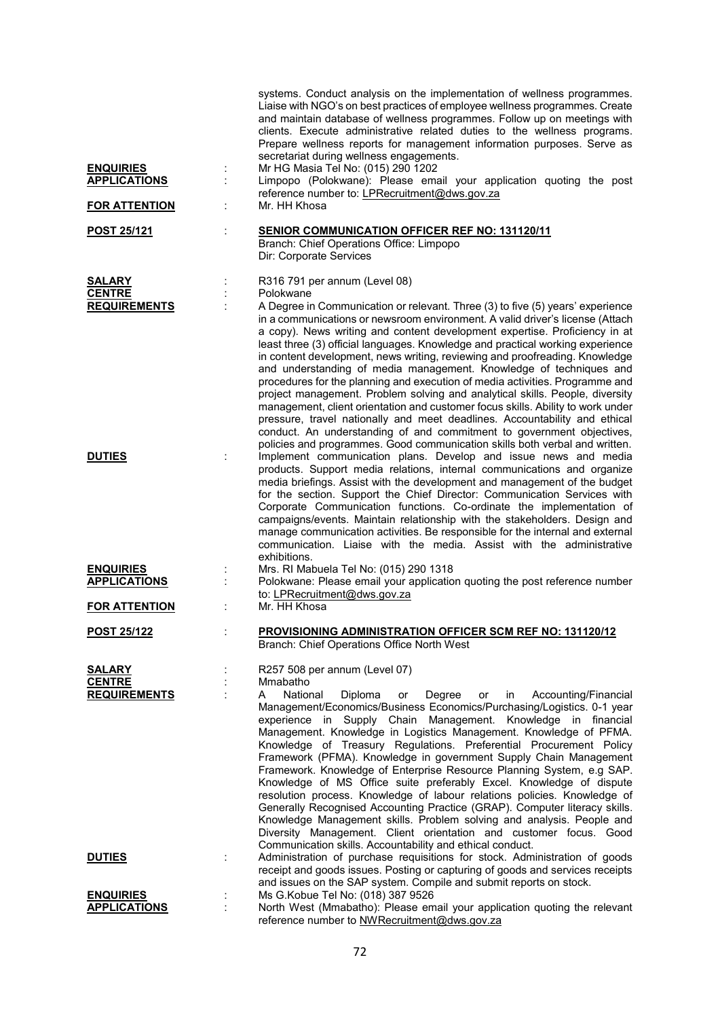| <b>ENQUIRIES</b><br><b>APPLICATIONS</b>               | ÷ | systems. Conduct analysis on the implementation of wellness programmes.<br>Liaise with NGO's on best practices of employee wellness programmes. Create<br>and maintain database of wellness programmes. Follow up on meetings with<br>clients. Execute administrative related duties to the wellness programs.<br>Prepare wellness reports for management information purposes. Serve as<br>secretariat during wellness engagements.<br>Mr HG Masia Tel No: (015) 290 1202<br>Limpopo (Polokwane): Please email your application quoting the post                                                                                                                                                                                                                                                                                                                                                                                             |
|-------------------------------------------------------|---|-----------------------------------------------------------------------------------------------------------------------------------------------------------------------------------------------------------------------------------------------------------------------------------------------------------------------------------------------------------------------------------------------------------------------------------------------------------------------------------------------------------------------------------------------------------------------------------------------------------------------------------------------------------------------------------------------------------------------------------------------------------------------------------------------------------------------------------------------------------------------------------------------------------------------------------------------|
| <b>FOR ATTENTION</b>                                  |   | reference number to: LPRecruitment@dws.gov.za<br>Mr. HH Khosa                                                                                                                                                                                                                                                                                                                                                                                                                                                                                                                                                                                                                                                                                                                                                                                                                                                                                 |
| <b>POST 25/121</b>                                    |   | <b>SENIOR COMMUNICATION OFFICER REF NO: 131120/11</b><br>Branch: Chief Operations Office: Limpopo<br>Dir: Corporate Services                                                                                                                                                                                                                                                                                                                                                                                                                                                                                                                                                                                                                                                                                                                                                                                                                  |
| <b>SALARY</b><br><b>CENTRE</b><br><b>REQUIREMENTS</b> |   | R316 791 per annum (Level 08)<br>Polokwane<br>A Degree in Communication or relevant. Three (3) to five (5) years' experience<br>in a communications or newsroom environment. A valid driver's license (Attach<br>a copy). News writing and content development expertise. Proficiency in at<br>least three (3) official languages. Knowledge and practical working experience<br>in content development, news writing, reviewing and proofreading. Knowledge<br>and understanding of media management. Knowledge of techniques and<br>procedures for the planning and execution of media activities. Programme and<br>project management. Problem solving and analytical skills. People, diversity<br>management, client orientation and customer focus skills. Ability to work under<br>pressure, travel nationally and meet deadlines. Accountability and ethical<br>conduct. An understanding of and commitment to government objectives,  |
| <b>DUTIES</b>                                         |   | policies and programmes. Good communication skills both verbal and written.<br>Implement communication plans. Develop and issue news and media<br>products. Support media relations, internal communications and organize<br>media briefings. Assist with the development and management of the budget<br>for the section. Support the Chief Director: Communication Services with<br>Corporate Communication functions. Co-ordinate the implementation of<br>campaigns/events. Maintain relationship with the stakeholders. Design and<br>manage communication activities. Be responsible for the internal and external<br>communication. Liaise with the media. Assist with the administrative<br>exhibitions.                                                                                                                                                                                                                              |
| <b>ENQUIRIES</b><br><b>APPLICATIONS</b>               |   | Mrs. RI Mabuela Tel No: (015) 290 1318<br>Polokwane: Please email your application quoting the post reference number<br>to: LPRecruitment@dws.gov.za                                                                                                                                                                                                                                                                                                                                                                                                                                                                                                                                                                                                                                                                                                                                                                                          |
| <b>FOR ATTENTION</b>                                  |   | Mr. HH Khosa                                                                                                                                                                                                                                                                                                                                                                                                                                                                                                                                                                                                                                                                                                                                                                                                                                                                                                                                  |
| <b>POST 25/122</b>                                    |   | PROVISIONING ADMINISTRATION OFFICER SCM REF NO: 131120/12<br>Branch: Chief Operations Office North West                                                                                                                                                                                                                                                                                                                                                                                                                                                                                                                                                                                                                                                                                                                                                                                                                                       |
| <b>SALARY</b><br><b>CENTRE</b><br><b>REQUIREMENTS</b> |   | R257 508 per annum (Level 07)<br>Mmabatho<br>National<br>Diploma<br>Degree<br>Accounting/Financial<br>A<br>or<br>in.<br>or<br>Management/Economics/Business Economics/Purchasing/Logistics. 0-1 year<br>experience in Supply Chain Management. Knowledge in financial<br>Management. Knowledge in Logistics Management. Knowledge of PFMA.<br>Knowledge of Treasury Regulations. Preferential Procurement Policy<br>Framework (PFMA). Knowledge in government Supply Chain Management<br>Framework. Knowledge of Enterprise Resource Planning System, e.g SAP.<br>Knowledge of MS Office suite preferably Excel. Knowledge of dispute<br>resolution process. Knowledge of labour relations policies. Knowledge of<br>Generally Recognised Accounting Practice (GRAP). Computer literacy skills.<br>Knowledge Management skills. Problem solving and analysis. People and<br>Diversity Management. Client orientation and customer focus. Good |
| <b>DUTIES</b>                                         |   | Communication skills. Accountability and ethical conduct.<br>Administration of purchase requisitions for stock. Administration of goods<br>receipt and goods issues. Posting or capturing of goods and services receipts<br>and issues on the SAP system. Compile and submit reports on stock.                                                                                                                                                                                                                                                                                                                                                                                                                                                                                                                                                                                                                                                |
| <b>ENQUIRIES</b><br><b>APPLICATIONS</b>               |   | Ms G.Kobue Tel No: (018) 387 9526<br>North West (Mmabatho): Please email your application quoting the relevant<br>reference number to NWRecruitment@dws.gov.za                                                                                                                                                                                                                                                                                                                                                                                                                                                                                                                                                                                                                                                                                                                                                                                |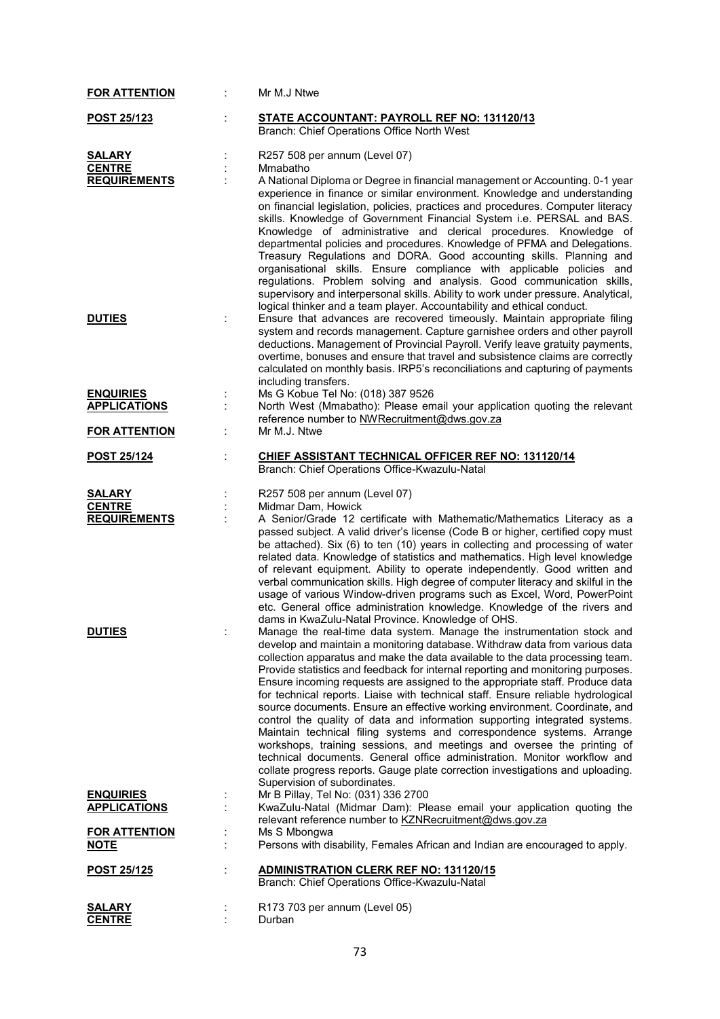| <b>FOR ATTENTION</b>                                  | Mr M.J Ntwe                                                                                                                                                                                                                                                                                                                                                                                                                                                                                                                                                                                                                                                                                                                                                                                                                                                                                                                                                                                                                                                     |
|-------------------------------------------------------|-----------------------------------------------------------------------------------------------------------------------------------------------------------------------------------------------------------------------------------------------------------------------------------------------------------------------------------------------------------------------------------------------------------------------------------------------------------------------------------------------------------------------------------------------------------------------------------------------------------------------------------------------------------------------------------------------------------------------------------------------------------------------------------------------------------------------------------------------------------------------------------------------------------------------------------------------------------------------------------------------------------------------------------------------------------------|
| POST 25/123                                           | <b>STATE ACCOUNTANT: PAYROLL REF NO: 131120/13</b><br>Branch: Chief Operations Office North West                                                                                                                                                                                                                                                                                                                                                                                                                                                                                                                                                                                                                                                                                                                                                                                                                                                                                                                                                                |
| <b>SALARY</b><br><b>CENTRE</b><br><b>REQUIREMENTS</b> | R257 508 per annum (Level 07)<br>Mmabatho<br>A National Diploma or Degree in financial management or Accounting. 0-1 year<br>experience in finance or similar environment. Knowledge and understanding<br>on financial legislation, policies, practices and procedures. Computer literacy<br>skills. Knowledge of Government Financial System i.e. PERSAL and BAS.                                                                                                                                                                                                                                                                                                                                                                                                                                                                                                                                                                                                                                                                                              |
|                                                       | Knowledge of administrative and clerical procedures. Knowledge of<br>departmental policies and procedures. Knowledge of PFMA and Delegations.<br>Treasury Regulations and DORA. Good accounting skills. Planning and<br>organisational skills. Ensure compliance with applicable policies and<br>regulations. Problem solving and analysis. Good communication skills,<br>supervisory and interpersonal skills. Ability to work under pressure. Analytical,<br>logical thinker and a team player. Accountability and ethical conduct.                                                                                                                                                                                                                                                                                                                                                                                                                                                                                                                           |
| <b>DUTIES</b>                                         | Ensure that advances are recovered timeously. Maintain appropriate filing<br>system and records management. Capture garnishee orders and other payroll<br>deductions. Management of Provincial Payroll. Verify leave gratuity payments,<br>overtime, bonuses and ensure that travel and subsistence claims are correctly<br>calculated on monthly basis. IRP5's reconciliations and capturing of payments<br>including transfers.                                                                                                                                                                                                                                                                                                                                                                                                                                                                                                                                                                                                                               |
| <b>ENQUIRIES</b><br><b>APPLICATIONS</b>               | Ms G Kobue Tel No: (018) 387 9526<br>North West (Mmabatho): Please email your application quoting the relevant                                                                                                                                                                                                                                                                                                                                                                                                                                                                                                                                                                                                                                                                                                                                                                                                                                                                                                                                                  |
| <b>FOR ATTENTION</b>                                  | reference number to NWRecruitment@dws.gov.za<br>Mr M.J. Ntwe                                                                                                                                                                                                                                                                                                                                                                                                                                                                                                                                                                                                                                                                                                                                                                                                                                                                                                                                                                                                    |
| POST 25/124                                           | CHIEF ASSISTANT TECHNICAL OFFICER REF NO: 131120/14<br>Branch: Chief Operations Office-Kwazulu-Natal                                                                                                                                                                                                                                                                                                                                                                                                                                                                                                                                                                                                                                                                                                                                                                                                                                                                                                                                                            |
| <b>SALARY</b><br><b>CENTRE</b>                        | R257 508 per annum (Level 07)<br>Midmar Dam, Howick                                                                                                                                                                                                                                                                                                                                                                                                                                                                                                                                                                                                                                                                                                                                                                                                                                                                                                                                                                                                             |
| <b>REQUIREMENTS</b>                                   | A Senior/Grade 12 certificate with Mathematic/Mathematics Literacy as a<br>passed subject. A valid driver's license (Code B or higher, certified copy must<br>be attached). Six (6) to ten (10) years in collecting and processing of water<br>related data. Knowledge of statistics and mathematics. High level knowledge<br>of relevant equipment. Ability to operate independently. Good written and<br>verbal communication skills. High degree of computer literacy and skilful in the<br>usage of various Window-driven programs such as Excel, Word, PowerPoint<br>etc. General office administration knowledge. Knowledge of the rivers and                                                                                                                                                                                                                                                                                                                                                                                                             |
| <b>DUTIES</b>                                         | dams in KwaZulu-Natal Province. Knowledge of OHS.<br>Manage the real-time data system. Manage the instrumentation stock and<br>develop and maintain a monitoring database. Withdraw data from various data<br>collection apparatus and make the data available to the data processing team.<br>Provide statistics and feedback for internal reporting and monitoring purposes.<br>Ensure incoming requests are assigned to the appropriate staff. Produce data<br>for technical reports. Liaise with technical staff. Ensure reliable hydrological<br>source documents. Ensure an effective working environment. Coordinate, and<br>control the quality of data and information supporting integrated systems.<br>Maintain technical filing systems and correspondence systems. Arrange<br>workshops, training sessions, and meetings and oversee the printing of<br>technical documents. General office administration. Monitor workflow and<br>collate progress reports. Gauge plate correction investigations and uploading.<br>Supervision of subordinates. |
| <b>ENQUIRIES</b><br><b>APPLICATIONS</b>               | Mr B Pillay, Tel No: (031) 336 2700<br>KwaZulu-Natal (Midmar Dam): Please email your application quoting the                                                                                                                                                                                                                                                                                                                                                                                                                                                                                                                                                                                                                                                                                                                                                                                                                                                                                                                                                    |
| <b>FOR ATTENTION</b><br><b>NOTE</b>                   | relevant reference number to KZNRecruitment@dws.gov.za<br>Ms S Mbongwa<br>Persons with disability, Females African and Indian are encouraged to apply.                                                                                                                                                                                                                                                                                                                                                                                                                                                                                                                                                                                                                                                                                                                                                                                                                                                                                                          |
| POST 25/125                                           | <b>ADMINISTRATION CLERK REF NO: 131120/15</b><br>Branch: Chief Operations Office-Kwazulu-Natal                                                                                                                                                                                                                                                                                                                                                                                                                                                                                                                                                                                                                                                                                                                                                                                                                                                                                                                                                                  |
| <b>SALARY</b><br><b>CENTRE</b>                        | R173 703 per annum (Level 05)<br>Durban                                                                                                                                                                                                                                                                                                                                                                                                                                                                                                                                                                                                                                                                                                                                                                                                                                                                                                                                                                                                                         |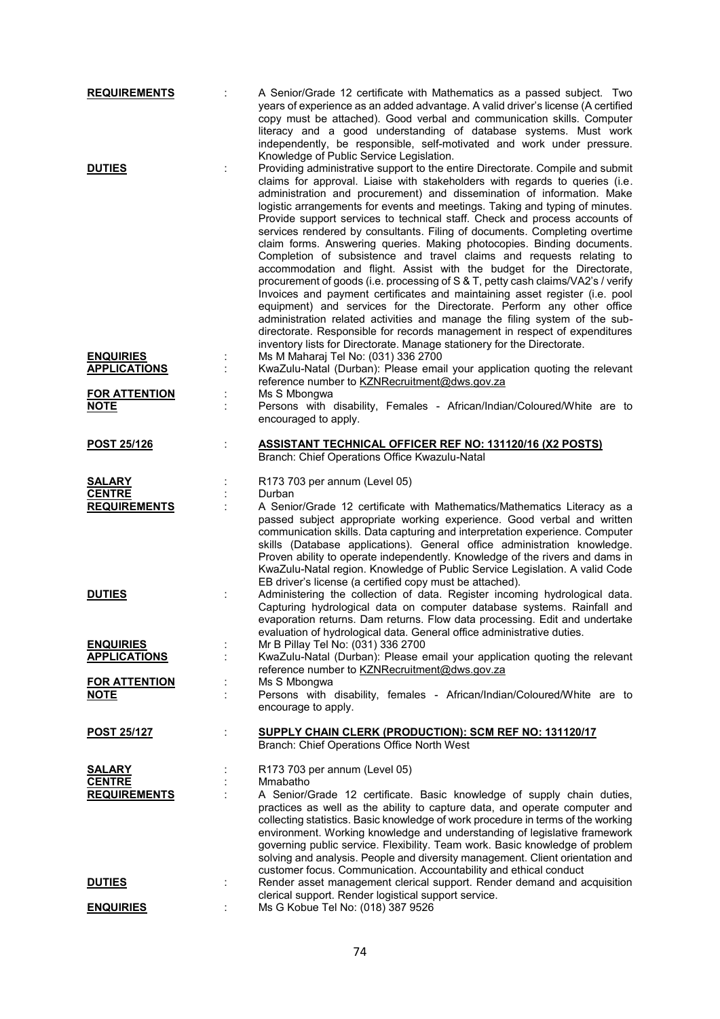| <b>REQUIREMENTS</b>                                   |    | A Senior/Grade 12 certificate with Mathematics as a passed subject. Two<br>years of experience as an added advantage. A valid driver's license (A certified<br>copy must be attached). Good verbal and communication skills. Computer<br>literacy and a good understanding of database systems. Must work<br>independently, be responsible, self-motivated and work under pressure.<br>Knowledge of Public Service Legislation.                                                                                                                                                                                                                                                                                                                                                                                                                                                                                                                                                                                                                                                                                                                                                                   |
|-------------------------------------------------------|----|---------------------------------------------------------------------------------------------------------------------------------------------------------------------------------------------------------------------------------------------------------------------------------------------------------------------------------------------------------------------------------------------------------------------------------------------------------------------------------------------------------------------------------------------------------------------------------------------------------------------------------------------------------------------------------------------------------------------------------------------------------------------------------------------------------------------------------------------------------------------------------------------------------------------------------------------------------------------------------------------------------------------------------------------------------------------------------------------------------------------------------------------------------------------------------------------------|
| <b>DUTIES</b>                                         | ÷  | Providing administrative support to the entire Directorate. Compile and submit<br>claims for approval. Liaise with stakeholders with regards to queries (i.e.<br>administration and procurement) and dissemination of information. Make<br>logistic arrangements for events and meetings. Taking and typing of minutes.<br>Provide support services to technical staff. Check and process accounts of<br>services rendered by consultants. Filing of documents. Completing overtime<br>claim forms. Answering queries. Making photocopies. Binding documents.<br>Completion of subsistence and travel claims and requests relating to<br>accommodation and flight. Assist with the budget for the Directorate,<br>procurement of goods (i.e. processing of S & T, petty cash claims/VA2's / verify<br>Invoices and payment certificates and maintaining asset register (i.e. pool<br>equipment) and services for the Directorate. Perform any other office<br>administration related activities and manage the filing system of the sub-<br>directorate. Responsible for records management in respect of expenditures<br>inventory lists for Directorate. Manage stationery for the Directorate. |
| <b>ENQUIRIES</b><br><b>APPLICATIONS</b>               |    | Ms M Maharaj Tel No: (031) 336 2700<br>KwaZulu-Natal (Durban): Please email your application quoting the relevant<br>reference number to KZNRecruitment@dws.gov.za                                                                                                                                                                                                                                                                                                                                                                                                                                                                                                                                                                                                                                                                                                                                                                                                                                                                                                                                                                                                                                |
| <b>FOR ATTENTION</b><br><b>NOTE</b>                   | İ, | Ms S Mbongwa<br>Persons with disability, Females - African/Indian/Coloured/White are to<br>encouraged to apply.                                                                                                                                                                                                                                                                                                                                                                                                                                                                                                                                                                                                                                                                                                                                                                                                                                                                                                                                                                                                                                                                                   |
| <b>POST 25/126</b>                                    |    | <b>ASSISTANT TECHNICAL OFFICER REF NO: 131120/16 (X2 POSTS)</b><br>Branch: Chief Operations Office Kwazulu-Natal                                                                                                                                                                                                                                                                                                                                                                                                                                                                                                                                                                                                                                                                                                                                                                                                                                                                                                                                                                                                                                                                                  |
| <b>SALARY</b><br><b>CENTRE</b><br><b>REQUIREMENTS</b> | ÷  | R173 703 per annum (Level 05)<br>Durban<br>A Senior/Grade 12 certificate with Mathematics/Mathematics Literacy as a<br>passed subject appropriate working experience. Good verbal and written<br>communication skills. Data capturing and interpretation experience. Computer<br>skills (Database applications). General office administration knowledge.<br>Proven ability to operate independently. Knowledge of the rivers and dams in<br>KwaZulu-Natal region. Knowledge of Public Service Legislation. A valid Code<br>EB driver's license (a certified copy must be attached).                                                                                                                                                                                                                                                                                                                                                                                                                                                                                                                                                                                                              |
| <b>DUTIES</b>                                         | ÷  | Administering the collection of data. Register incoming hydrological data.<br>Capturing hydrological data on computer database systems. Rainfall and<br>evaporation returns. Dam returns. Flow data processing. Edit and undertake<br>evaluation of hydrological data. General office administrative duties.                                                                                                                                                                                                                                                                                                                                                                                                                                                                                                                                                                                                                                                                                                                                                                                                                                                                                      |
| <b>ENQUIRIES</b><br><b>APPLICATIONS</b>               |    | Mr B Pillay Tel No: (031) 336 2700<br>KwaZulu-Natal (Durban): Please email your application quoting the relevant<br>reference number to KZNRecruitment@dws.gov.za                                                                                                                                                                                                                                                                                                                                                                                                                                                                                                                                                                                                                                                                                                                                                                                                                                                                                                                                                                                                                                 |
| <b>FOR ATTENTION</b><br><b>NOTE</b>                   |    | Ms S Mbongwa<br>Persons with disability, females - African/Indian/Coloured/White are to<br>encourage to apply.                                                                                                                                                                                                                                                                                                                                                                                                                                                                                                                                                                                                                                                                                                                                                                                                                                                                                                                                                                                                                                                                                    |
| <u>POST 25/127</u>                                    | ÷  | SUPPLY CHAIN CLERK (PRODUCTION): SCM REF NO: 131120/17<br>Branch: Chief Operations Office North West                                                                                                                                                                                                                                                                                                                                                                                                                                                                                                                                                                                                                                                                                                                                                                                                                                                                                                                                                                                                                                                                                              |
| <b>SALARY</b><br><b>CENTRE</b><br><b>REQUIREMENTS</b> |    | R173 703 per annum (Level 05)<br>Mmabatho<br>A Senior/Grade 12 certificate. Basic knowledge of supply chain duties,<br>practices as well as the ability to capture data, and operate computer and<br>collecting statistics. Basic knowledge of work procedure in terms of the working<br>environment. Working knowledge and understanding of legislative framework<br>governing public service. Flexibility. Team work. Basic knowledge of problem<br>solving and analysis. People and diversity management. Client orientation and<br>customer focus. Communication. Accountability and ethical conduct                                                                                                                                                                                                                                                                                                                                                                                                                                                                                                                                                                                          |
| <b>DUTIES</b>                                         | ÷  | Render asset management clerical support. Render demand and acquisition<br>clerical support. Render logistical support service.                                                                                                                                                                                                                                                                                                                                                                                                                                                                                                                                                                                                                                                                                                                                                                                                                                                                                                                                                                                                                                                                   |
| <b>ENQUIRIES</b>                                      |    | Ms G Kobue Tel No: (018) 387 9526                                                                                                                                                                                                                                                                                                                                                                                                                                                                                                                                                                                                                                                                                                                                                                                                                                                                                                                                                                                                                                                                                                                                                                 |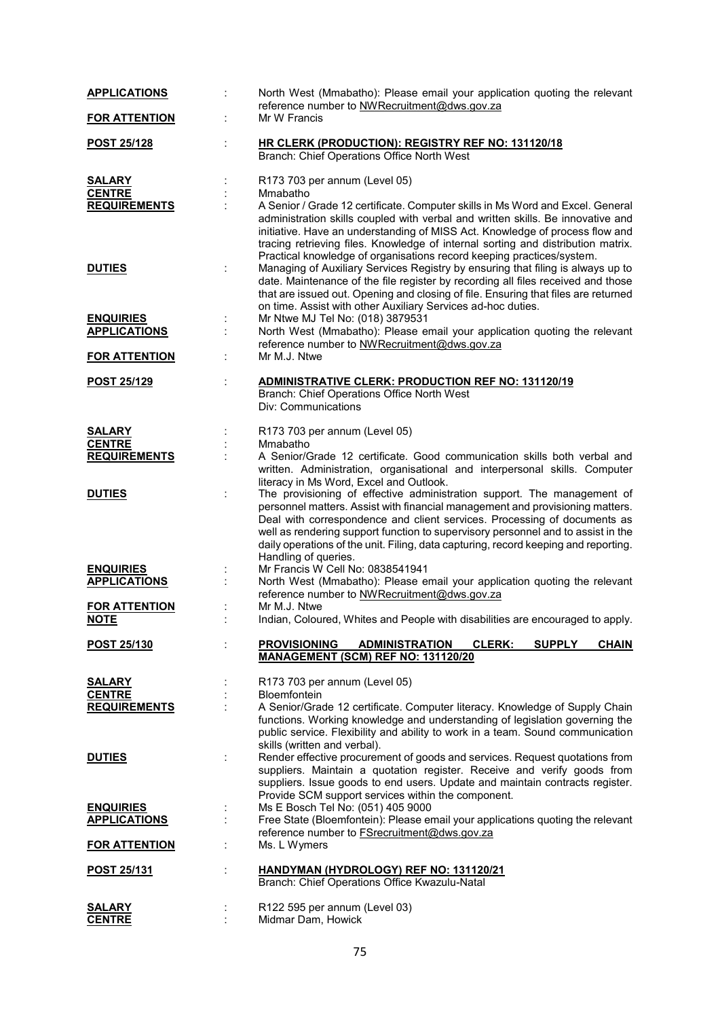| <b>APPLICATIONS</b>  | North West (Mmabatho): Please email your application quoting the relevant<br>reference number to NWRecruitment@dws.gov.za                                                                                                                                                                                                                                    |
|----------------------|--------------------------------------------------------------------------------------------------------------------------------------------------------------------------------------------------------------------------------------------------------------------------------------------------------------------------------------------------------------|
| <b>FOR ATTENTION</b> | Mr W Francis                                                                                                                                                                                                                                                                                                                                                 |
| <b>POST 25/128</b>   | HR CLERK (PRODUCTION): REGISTRY REF NO: 131120/18                                                                                                                                                                                                                                                                                                            |
|                      | Branch: Chief Operations Office North West                                                                                                                                                                                                                                                                                                                   |
| <u>SALARY</u>        | R173 703 per annum (Level 05)                                                                                                                                                                                                                                                                                                                                |
| <b>CENTRE</b>        | Mmabatho                                                                                                                                                                                                                                                                                                                                                     |
| <b>REQUIREMENTS</b>  | A Senior / Grade 12 certificate. Computer skills in Ms Word and Excel. General                                                                                                                                                                                                                                                                               |
|                      | administration skills coupled with verbal and written skills. Be innovative and<br>initiative. Have an understanding of MISS Act. Knowledge of process flow and<br>tracing retrieving files. Knowledge of internal sorting and distribution matrix.<br>Practical knowledge of organisations record keeping practices/system.                                 |
| <b>DUTIES</b>        | Managing of Auxiliary Services Registry by ensuring that filing is always up to<br>date. Maintenance of the file register by recording all files received and those<br>that are issued out. Opening and closing of file. Ensuring that files are returned<br>on time. Assist with other Auxiliary Services ad-hoc duties.                                    |
| <b>ENQUIRIES</b>     | Mr Ntwe MJ Tel No: (018) 3879531                                                                                                                                                                                                                                                                                                                             |
| <b>APPLICATIONS</b>  | North West (Mmabatho): Please email your application quoting the relevant<br>÷                                                                                                                                                                                                                                                                               |
|                      | reference number to NWRecruitment@dws.gov.za                                                                                                                                                                                                                                                                                                                 |
| <b>FOR ATTENTION</b> | Mr M.J. Ntwe                                                                                                                                                                                                                                                                                                                                                 |
| <b>POST 25/129</b>   | ADMINISTRATIVE CLERK: PRODUCTION REF NO: 131120/19                                                                                                                                                                                                                                                                                                           |
|                      | Branch: Chief Operations Office North West<br>Div: Communications                                                                                                                                                                                                                                                                                            |
| <b>SALARY</b>        | R173 703 per annum (Level 05)                                                                                                                                                                                                                                                                                                                                |
| <b>CENTRE</b>        | Mmabatho                                                                                                                                                                                                                                                                                                                                                     |
| <b>REQUIREMENTS</b>  | A Senior/Grade 12 certificate. Good communication skills both verbal and<br>written. Administration, organisational and interpersonal skills. Computer<br>literacy in Ms Word, Excel and Outlook.                                                                                                                                                            |
| <b>DUTIES</b>        | The provisioning of effective administration support. The management of                                                                                                                                                                                                                                                                                      |
|                      | personnel matters. Assist with financial management and provisioning matters.<br>Deal with correspondence and client services. Processing of documents as<br>well as rendering support function to supervisory personnel and to assist in the<br>daily operations of the unit. Filing, data capturing, record keeping and reporting.<br>Handling of queries. |
| <b>ENQUIRIES</b>     | Mr Francis W Cell No: 0838541941                                                                                                                                                                                                                                                                                                                             |
| <b>APPLICATIONS</b>  | North West (Mmabatho): Please email your application quoting the relevant                                                                                                                                                                                                                                                                                    |
|                      | reference number to NWRecruitment@dws.gov.za                                                                                                                                                                                                                                                                                                                 |
| <b>FOR ATTENTION</b> | Mr M.J. Ntwe                                                                                                                                                                                                                                                                                                                                                 |
| <b>NOTE</b>          | Indian, Coloured, Whites and People with disabilities are encouraged to apply.                                                                                                                                                                                                                                                                               |
|                      | <b>SUPPLY</b>                                                                                                                                                                                                                                                                                                                                                |
| <b>POST 25/130</b>   | <b>PROVISIONING</b><br><b>ADMINISTRATION</b><br><b>CLERK:</b><br><b>CHAIN</b><br>MANAGEMENT (SCM) REF NO: 131120/20                                                                                                                                                                                                                                          |
| <u>SALARY</u>        | R173 703 per annum (Level 05)                                                                                                                                                                                                                                                                                                                                |
| <b>CENTRE</b>        | Bloemfontein                                                                                                                                                                                                                                                                                                                                                 |
| <b>REQUIREMENTS</b>  | A Senior/Grade 12 certificate. Computer literacy. Knowledge of Supply Chain                                                                                                                                                                                                                                                                                  |
|                      | functions. Working knowledge and understanding of legislation governing the<br>public service. Flexibility and ability to work in a team. Sound communication<br>skills (written and verbal).                                                                                                                                                                |
| <b>DUTIES</b>        | Render effective procurement of goods and services. Request quotations from<br>suppliers. Maintain a quotation register. Receive and verify goods from<br>suppliers. Issue goods to end users. Update and maintain contracts register.                                                                                                                       |
|                      | Provide SCM support services within the component.                                                                                                                                                                                                                                                                                                           |
| <b>ENQUIRIES</b>     | Ms E Bosch Tel No: (051) 405 9000                                                                                                                                                                                                                                                                                                                            |
| <b>APPLICATIONS</b>  | Free State (Bloemfontein): Please email your applications quoting the relevant                                                                                                                                                                                                                                                                               |
| <b>FOR ATTENTION</b> | reference number to <b>FSrecruitment@dws.gov.za</b><br>Ms. L Wymers                                                                                                                                                                                                                                                                                          |
| POST 25/131          | HANDYMAN (HYDROLOGY) REF NO: 131120/21<br>Branch: Chief Operations Office Kwazulu-Natal                                                                                                                                                                                                                                                                      |
| <b>SALARY</b>        | R122 595 per annum (Level 03)                                                                                                                                                                                                                                                                                                                                |
| <b>CENTRE</b>        | Midmar Dam, Howick                                                                                                                                                                                                                                                                                                                                           |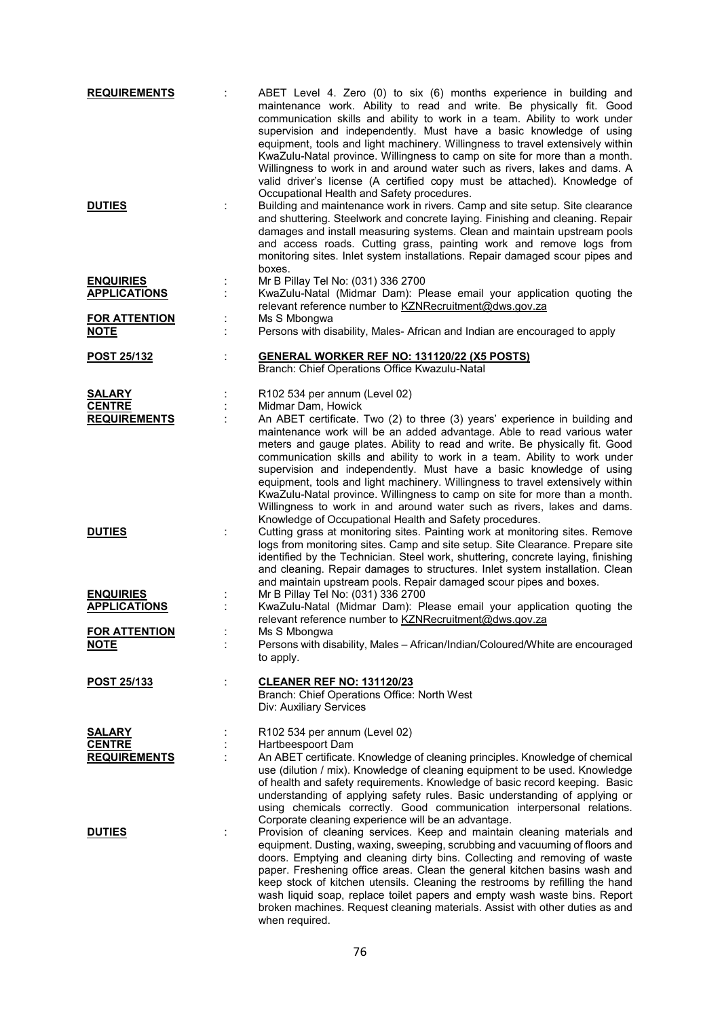| <b>REQUIREMENTS</b>  |   | ABET Level 4. Zero (0) to six (6) months experience in building and<br>maintenance work. Ability to read and write. Be physically fit. Good<br>communication skills and ability to work in a team. Ability to work under<br>supervision and independently. Must have a basic knowledge of using<br>equipment, tools and light machinery. Willingness to travel extensively within<br>KwaZulu-Natal province. Willingness to camp on site for more than a month.<br>Willingness to work in and around water such as rivers, lakes and dams. A<br>valid driver's license (A certified copy must be attached). Knowledge of |
|----------------------|---|--------------------------------------------------------------------------------------------------------------------------------------------------------------------------------------------------------------------------------------------------------------------------------------------------------------------------------------------------------------------------------------------------------------------------------------------------------------------------------------------------------------------------------------------------------------------------------------------------------------------------|
| <b>DUTIES</b>        |   | Occupational Health and Safety procedures.<br>Building and maintenance work in rivers. Camp and site setup. Site clearance<br>and shuttering. Steelwork and concrete laying. Finishing and cleaning. Repair<br>damages and install measuring systems. Clean and maintain upstream pools<br>and access roads. Cutting grass, painting work and remove logs from<br>monitoring sites. Inlet system installations. Repair damaged scour pipes and<br>boxes.                                                                                                                                                                 |
| <b>ENQUIRIES</b>     |   | Mr B Pillay Tel No: (031) 336 2700                                                                                                                                                                                                                                                                                                                                                                                                                                                                                                                                                                                       |
| <b>APPLICATIONS</b>  |   | KwaZulu-Natal (Midmar Dam): Please email your application quoting the                                                                                                                                                                                                                                                                                                                                                                                                                                                                                                                                                    |
|                      |   | relevant reference number to KZNRecruitment@dws.gov.za                                                                                                                                                                                                                                                                                                                                                                                                                                                                                                                                                                   |
| <b>FOR ATTENTION</b> |   | Ms S Mbongwa                                                                                                                                                                                                                                                                                                                                                                                                                                                                                                                                                                                                             |
| <b>NOTE</b>          |   | Persons with disability, Males- African and Indian are encouraged to apply                                                                                                                                                                                                                                                                                                                                                                                                                                                                                                                                               |
| <b>POST 25/132</b>   | t | <b>GENERAL WORKER REF NO: 131120/22 (X5 POSTS)</b>                                                                                                                                                                                                                                                                                                                                                                                                                                                                                                                                                                       |
|                      |   | Branch: Chief Operations Office Kwazulu-Natal                                                                                                                                                                                                                                                                                                                                                                                                                                                                                                                                                                            |
|                      |   |                                                                                                                                                                                                                                                                                                                                                                                                                                                                                                                                                                                                                          |
| <b>SALARY</b>        |   | R102 534 per annum (Level 02)                                                                                                                                                                                                                                                                                                                                                                                                                                                                                                                                                                                            |
| <b>CENTRE</b>        |   | Midmar Dam, Howick                                                                                                                                                                                                                                                                                                                                                                                                                                                                                                                                                                                                       |
| <b>REQUIREMENTS</b>  |   | An ABET certificate. Two (2) to three (3) years' experience in building and                                                                                                                                                                                                                                                                                                                                                                                                                                                                                                                                              |
|                      |   | maintenance work will be an added advantage. Able to read various water<br>meters and gauge plates. Ability to read and write. Be physically fit. Good<br>communication skills and ability to work in a team. Ability to work under<br>supervision and independently. Must have a basic knowledge of using<br>equipment, tools and light machinery. Willingness to travel extensively within<br>KwaZulu-Natal province. Willingness to camp on site for more than a month.<br>Willingness to work in and around water such as rivers, lakes and dams.                                                                    |
| <b>DUTIES</b>        |   | Knowledge of Occupational Health and Safety procedures.<br>Cutting grass at monitoring sites. Painting work at monitoring sites. Remove<br>logs from monitoring sites. Camp and site setup. Site Clearance. Prepare site<br>identified by the Technician. Steel work, shuttering, concrete laying, finishing<br>and cleaning. Repair damages to structures. Inlet system installation. Clean<br>and maintain upstream pools. Repair damaged scour pipes and boxes.                                                                                                                                                       |
| <b>ENQUIRIES</b>     |   | Mr B Pillay Tel No: (031) 336 2700                                                                                                                                                                                                                                                                                                                                                                                                                                                                                                                                                                                       |
| <b>APPLICATIONS</b>  |   | KwaZulu-Natal (Midmar Dam): Please email your application quoting the                                                                                                                                                                                                                                                                                                                                                                                                                                                                                                                                                    |
|                      |   | relevant reference number to KZNRecruitment@dws.gov.za                                                                                                                                                                                                                                                                                                                                                                                                                                                                                                                                                                   |
| <b>FOR ATTENTION</b> |   | Ms S Mbongwa                                                                                                                                                                                                                                                                                                                                                                                                                                                                                                                                                                                                             |
| <u>NOTE</u>          |   | Persons with disability, Males - African/Indian/Coloured/White are encouraged                                                                                                                                                                                                                                                                                                                                                                                                                                                                                                                                            |
|                      |   | to apply.                                                                                                                                                                                                                                                                                                                                                                                                                                                                                                                                                                                                                |
|                      |   |                                                                                                                                                                                                                                                                                                                                                                                                                                                                                                                                                                                                                          |
| POST 25/133          | t | <b>CLEANER REF NO: 131120/23</b>                                                                                                                                                                                                                                                                                                                                                                                                                                                                                                                                                                                         |
|                      |   | Branch: Chief Operations Office: North West<br>Div: Auxiliary Services                                                                                                                                                                                                                                                                                                                                                                                                                                                                                                                                                   |
|                      |   |                                                                                                                                                                                                                                                                                                                                                                                                                                                                                                                                                                                                                          |
| <b>SALARY</b>        |   | R102 534 per annum (Level 02)                                                                                                                                                                                                                                                                                                                                                                                                                                                                                                                                                                                            |
| <b>CENTRE</b>        |   | Hartbeespoort Dam                                                                                                                                                                                                                                                                                                                                                                                                                                                                                                                                                                                                        |
| <b>REQUIREMENTS</b>  |   | An ABET certificate. Knowledge of cleaning principles. Knowledge of chemical                                                                                                                                                                                                                                                                                                                                                                                                                                                                                                                                             |
|                      |   | use (dilution / mix). Knowledge of cleaning equipment to be used. Knowledge<br>of health and safety requirements. Knowledge of basic record keeping. Basic<br>understanding of applying safety rules. Basic understanding of applying or<br>using chemicals correctly. Good communication interpersonal relations.<br>Corporate cleaning experience will be an advantage.                                                                                                                                                                                                                                                |
| <b>DUTIES</b>        |   | Provision of cleaning services. Keep and maintain cleaning materials and<br>equipment. Dusting, waxing, sweeping, scrubbing and vacuuming of floors and<br>doors. Emptying and cleaning dirty bins. Collecting and removing of waste<br>paper. Freshening office areas. Clean the general kitchen basins wash and<br>keep stock of kitchen utensils. Cleaning the restrooms by refilling the hand<br>wash liquid soap, replace toilet papers and empty wash waste bins. Report<br>broken machines. Request cleaning materials. Assist with other duties as and<br>when required.                                         |